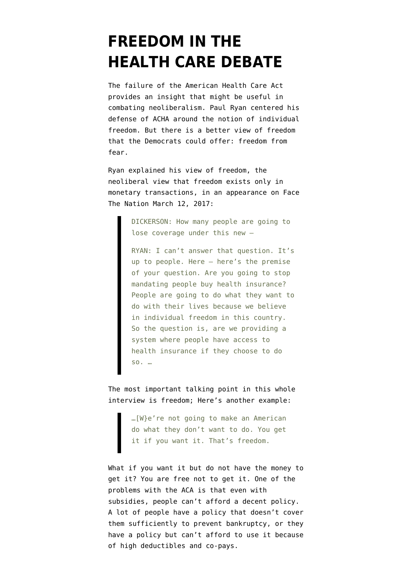## **[FREEDOM IN THE](https://www.emptywheel.net/2017/03/28/freedom-in-the-health-care-debate/) [HEALTH CARE DEBATE](https://www.emptywheel.net/2017/03/28/freedom-in-the-health-care-debate/)**

The failure of the American Health Care Act provides an insight that might be useful in combating neoliberalism. Paul Ryan centered his defense of ACHA around the notion of individual freedom. But there is a better view of freedom that the Democrats could offer: freedom from fear.

Ryan explained his view of freedom, the neoliberal view that freedom exists only in monetary transactions, in an appearance on [Face](http://www.cbsnews.com/news/face-the-nation-transcript-march-12-2017-ryan-paul-sanders/) [The Nation](http://www.cbsnews.com/news/face-the-nation-transcript-march-12-2017-ryan-paul-sanders/) March 12, 2017:

> DICKERSON: How many people are going to lose coverage under this new —

RYAN: I can't answer that question. It's up to people. Here — here's the premise of your question. Are you going to stop mandating people buy health insurance? People are going to do what they want to do with their lives because we believe in individual freedom in this country. So the question is, are we providing a system where people have access to health insurance if they choose to do so. …

The most important talking point in this whole interview is freedom; Here's another example:

> …[W}e're not going to make an American do what they don't want to do. You get it if you want it. That's freedom.

What if you want it but do not have the money to get it? You are free not to get it. One of the problems with the ACA is that even with subsidies, people can't afford a decent policy. A lot of people have a policy that doesn't cover them sufficiently to prevent bankruptcy, or they have a policy but can't afford to use it because of high deductibles and co-pays.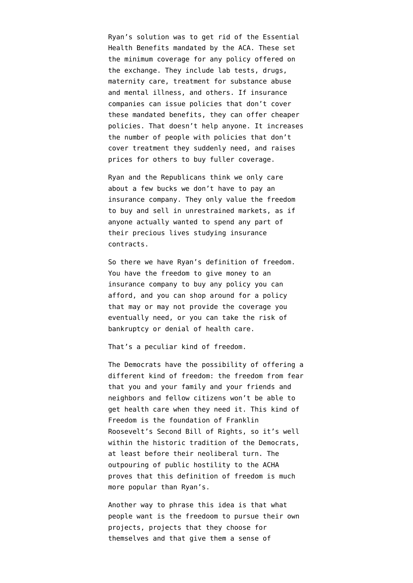Ryan's solution was to get rid of the Essential Health Benefits mandated by the ACA. These set the minimum coverage for any policy offered on the exchange. They include lab tests, drugs, maternity care, treatment for substance abuse and mental illness, and others. If insurance companies can issue policies that don't cover these mandated benefits, they can offer cheaper policies. That doesn't help anyone. It increases the number of people with policies that don't cover treatment they suddenly need, and raises prices for others to buy fuller coverage.

Ryan and the Republicans think we only care about a few bucks we don't have to pay an insurance company. They only value the freedom to buy and sell in unrestrained markets, as if anyone actually wanted to spend any part of their precious lives studying insurance contracts.

So there we have Ryan's definition of freedom. You have the freedom to give money to an insurance company to buy any policy you can afford, and you can shop around for a policy that may or may not provide the coverage you eventually need, or you can take the risk of bankruptcy or denial of health care.

That's a peculiar kind of freedom.

The Democrats have the possibility of offering a different kind of freedom: the freedom from fear that you and your family and your friends and neighbors and fellow citizens won't be able to get health care when they need it. This kind of Freedom is the foundation of Franklin Roosevelt's [Second Bill of Rights,](https://www.emptywheel.net/2016/06/23/an-economics-for-the-left/) so it's well within the historic tradition of the Democrats, at least before their neoliberal turn. The outpouring of public hostility to the ACHA proves that this definition of freedom is much more popular than Ryan's.

Another way to phrase this idea is that what people want is the freedoom to pursue their own projects, projects that they choose for themselves and that give them a sense of